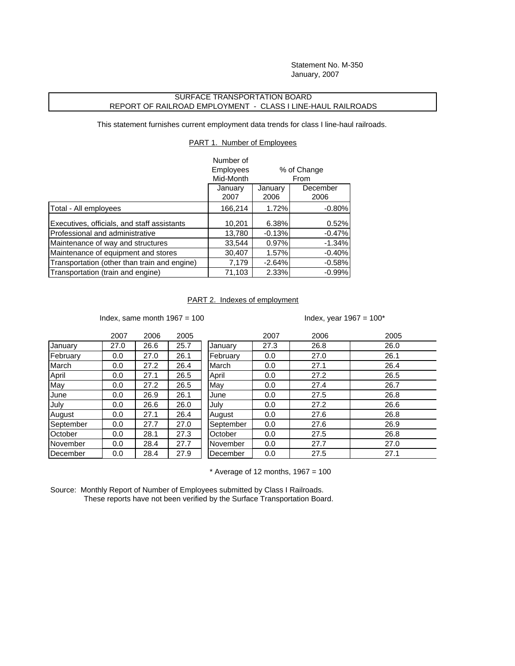Statement No. M-350 January, 2007

## SURFACE TRANSPORTATION BOARD REPORT OF RAILROAD EMPLOYMENT - CLASS I LINE-HAUL RAILROADS

This statement furnishes current employment data trends for class I line-haul railroads.

PART 1. Number of Employees

|                                              | Number of        |             |          |  |
|----------------------------------------------|------------------|-------------|----------|--|
|                                              | <b>Employees</b> | % of Change |          |  |
|                                              | Mid-Month        |             | From     |  |
|                                              | January          | January     | December |  |
|                                              | 2007             | 2006        | 2006     |  |
| Total - All employees                        | 166,214          | 1.72%       | $-0.80%$ |  |
| Executives, officials, and staff assistants  | 10,201           | 6.38%       | 0.52%    |  |
| Professional and administrative              | 13,780           | $-0.13%$    | $-0.47%$ |  |
| Maintenance of way and structures            | 33,544           | 0.97%       | $-1.34%$ |  |
| Maintenance of equipment and stores          | 30,407           | 1.57%       | $-0.40%$ |  |
| Transportation (other than train and engine) | 7,179            | $-2.64%$    | $-0.58%$ |  |
| Transportation (train and engine)            | 71,103           | 2.33%       | $-0.99%$ |  |

## PART 2. Indexes of employment

Index, same month  $1967 = 100$  Index, year  $1967 = 100*$ 

|           | 2007 | 2006 | 2005 |           | 2007 | 2006 | 2005 |
|-----------|------|------|------|-----------|------|------|------|
| January   | 27.0 | 26.6 | 25.7 | January   | 27.3 | 26.8 | 26.0 |
| February  | 0.0  | 27.0 | 26.1 | February  | 0.0  | 27.0 | 26.1 |
| March     | 0.0  | 27.2 | 26.4 | March     | 0.0  | 27.1 | 26.4 |
| April     | 0.0  | 27.1 | 26.5 | April     | 0.0  | 27.2 | 26.5 |
| May       | 0.0  | 27.2 | 26.5 | May       | 0.0  | 27.4 | 26.7 |
| June      | 0.0  | 26.9 | 26.1 | June      | 0.0  | 27.5 | 26.8 |
| July      | 0.0  | 26.6 | 26.0 | July      | 0.0  | 27.2 | 26.6 |
| August    | 0.0  | 27.1 | 26.4 | August    | 0.0  | 27.6 | 26.8 |
| September | 0.0  | 27.7 | 27.0 | September | 0.0  | 27.6 | 26.9 |
| October   | 0.0  | 28.1 | 27.3 | October   | 0.0  | 27.5 | 26.8 |
| November  | 0.0  | 28.4 | 27.7 | November  | 0.0  | 27.7 | 27.0 |
| December  | 0.0  | 28.4 | 27.9 | December  | 0.0  | 27.5 | 27.1 |

 $*$  Average of 12 months, 1967 = 100

Source: Monthly Report of Number of Employees submitted by Class I Railroads. These reports have not been verified by the Surface Transportation Board.